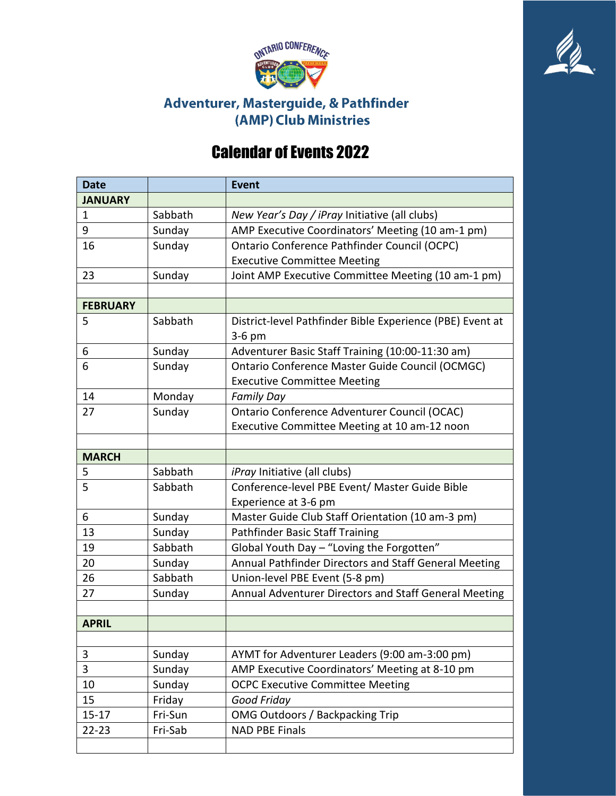



## Adventurer, Masterguide, & Pathfinder (AMP) Club Ministries

## Calendar of Events 2022

| <b>Date</b>     |         | <b>Event</b>                                              |
|-----------------|---------|-----------------------------------------------------------|
| <b>JANUARY</b>  |         |                                                           |
| 1               | Sabbath | New Year's Day / iPray Initiative (all clubs)             |
| 9               | Sunday  | AMP Executive Coordinators' Meeting (10 am-1 pm)          |
| 16              | Sunday  | Ontario Conference Pathfinder Council (OCPC)              |
|                 |         | <b>Executive Committee Meeting</b>                        |
| 23              | Sunday  | Joint AMP Executive Committee Meeting (10 am-1 pm)        |
|                 |         |                                                           |
| <b>FEBRUARY</b> |         |                                                           |
| 5               | Sabbath | District-level Pathfinder Bible Experience (PBE) Event at |
|                 |         | 3-6 pm                                                    |
| 6               | Sunday  | Adventurer Basic Staff Training (10:00-11:30 am)          |
| 6               | Sunday  | Ontario Conference Master Guide Council (OCMGC)           |
|                 |         | <b>Executive Committee Meeting</b>                        |
| 14              | Monday  | <b>Family Day</b>                                         |
| 27              | Sunday  | Ontario Conference Adventurer Council (OCAC)              |
|                 |         | Executive Committee Meeting at 10 am-12 noon              |
|                 |         |                                                           |
| <b>MARCH</b>    |         |                                                           |
| 5               | Sabbath | <i>iPray</i> Initiative (all clubs)                       |
| 5               | Sabbath | Conference-level PBE Event/ Master Guide Bible            |
|                 |         | Experience at 3-6 pm                                      |
| 6               | Sunday  | Master Guide Club Staff Orientation (10 am-3 pm)          |
| 13              | Sunday  | Pathfinder Basic Staff Training                           |
| 19              | Sabbath | Global Youth Day - "Loving the Forgotten"                 |
| 20              | Sunday  | Annual Pathfinder Directors and Staff General Meeting     |
| 26              | Sabbath | Union-level PBE Event (5-8 pm)                            |
| 27              | Sunday  | Annual Adventurer Directors and Staff General Meeting     |
|                 |         |                                                           |
| <b>APRIL</b>    |         |                                                           |
|                 |         |                                                           |
| 3               | Sunday  | AYMT for Adventurer Leaders (9:00 am-3:00 pm)             |
| 3               | Sunday  | AMP Executive Coordinators' Meeting at 8-10 pm            |
| 10              | Sunday  | <b>OCPC Executive Committee Meeting</b>                   |
| 15              | Friday  | Good Friday                                               |
| $15 - 17$       | Fri-Sun | <b>OMG Outdoors / Backpacking Trip</b>                    |
| $22 - 23$       | Fri-Sab | <b>NAD PBE Finals</b>                                     |
|                 |         |                                                           |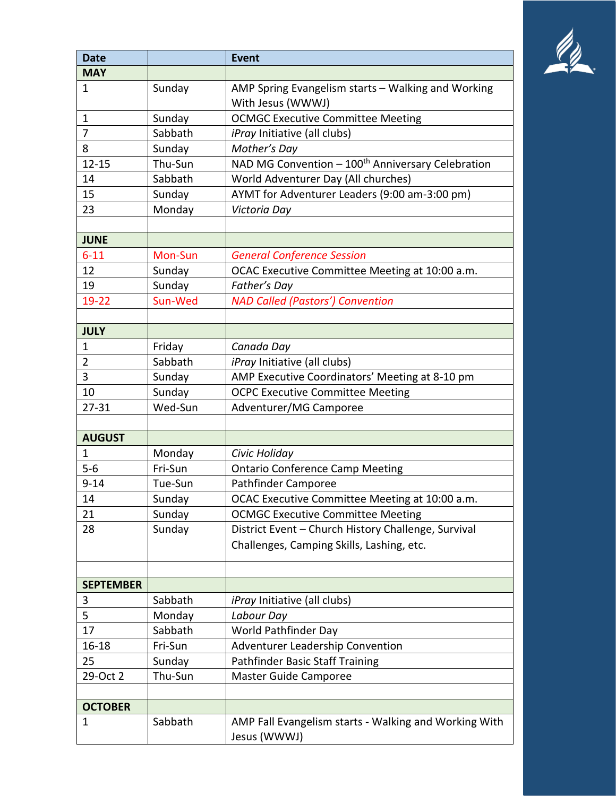

| <b>Date</b>      |         | <b>Event</b>                                                            |
|------------------|---------|-------------------------------------------------------------------------|
| <b>MAY</b>       |         |                                                                         |
| 1                | Sunday  | AMP Spring Evangelism starts - Walking and Working<br>With Jesus (WWWJ) |
| $\mathbf{1}$     | Sunday  | <b>OCMGC Executive Committee Meeting</b>                                |
| 7                | Sabbath | <i>iPray</i> Initiative (all clubs)                                     |
| 8                | Sunday  | Mother's Day                                                            |
| $12 - 15$        | Thu-Sun | NAD MG Convention - 100 <sup>th</sup> Anniversary Celebration           |
| 14               | Sabbath | World Adventurer Day (All churches)                                     |
| 15               | Sunday  | AYMT for Adventurer Leaders (9:00 am-3:00 pm)                           |
| 23               | Monday  | Victoria Day                                                            |
|                  |         |                                                                         |
| <b>JUNE</b>      |         |                                                                         |
| $6 - 11$         | Mon-Sun | <b>General Conference Session</b>                                       |
| 12               | Sunday  | OCAC Executive Committee Meeting at 10:00 a.m.                          |
| 19               | Sunday  | Father's Day                                                            |
| 19-22            | Sun-Wed | <b>NAD Called (Pastors') Convention</b>                                 |
|                  |         |                                                                         |
| <b>JULY</b>      |         |                                                                         |
| 1                | Friday  | Canada Day                                                              |
| $\overline{2}$   | Sabbath | iPray Initiative (all clubs)                                            |
| 3                | Sunday  | AMP Executive Coordinators' Meeting at 8-10 pm                          |
| 10               | Sunday  | <b>OCPC Executive Committee Meeting</b>                                 |
| $27 - 31$        | Wed-Sun | Adventurer/MG Camporee                                                  |
|                  |         |                                                                         |
| <b>AUGUST</b>    |         |                                                                         |
| 1                | Monday  | Civic Holiday                                                           |
| $5 - 6$          | Fri-Sun | <b>Ontario Conference Camp Meeting</b>                                  |
| $9 - 14$         | Tue-Sun | Pathfinder Camporee                                                     |
| 14               | Sunday  | OCAC Executive Committee Meeting at 10:00 a.m.                          |
| 21               | Sunday  | <b>OCMGC Executive Committee Meeting</b>                                |
| 28               | Sunday  | District Event - Church History Challenge, Survival                     |
|                  |         | Challenges, Camping Skills, Lashing, etc.                               |
|                  |         |                                                                         |
| <b>SEPTEMBER</b> |         |                                                                         |
| 3                | Sabbath | <i>iPray</i> Initiative (all clubs)                                     |
| 5                | Monday  | Labour Day                                                              |
| 17               | Sabbath | World Pathfinder Day                                                    |
| $16 - 18$        | Fri-Sun | Adventurer Leadership Convention                                        |
| 25               | Sunday  | Pathfinder Basic Staff Training                                         |
| 29-Oct 2         | Thu-Sun | <b>Master Guide Camporee</b>                                            |
|                  |         |                                                                         |
| <b>OCTOBER</b>   |         |                                                                         |
| 1                | Sabbath | AMP Fall Evangelism starts - Walking and Working With<br>Jesus (WWWJ)   |